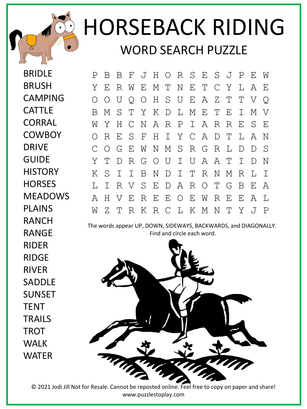## HORSEBACK RIDING WORD SEARCH PUZZLE

BRIDLE BRUSH CAMPING CATTLE **CORRAL COWBOY** DRIVE GUIDE **HISTORY HORSES** MEADOWS PLAINS RANCH P B B F J H O R S E S J P E W Y E R W E M T N E T C Y L A E O O U Q O H S U E A Z T T V Q B M S T Y K D L M E T E I M V W Y H C N A R P I A R R E S E O R E S F H I Y C A D T L A N C O G E W N M S R G R L D D S Y T D R G O U I U A A T I D N K S I I B N D I T R N M R L I L I R V S E D A R O T G B E A A H V E R E E O E W R E E A L W Z T R K R C L K M N T Y J P

RANGE

RIDER

RIDGE

RIVER

SADDLE

SUNSET

**TFNT** 

**TROT** 

WALK

WATER

**TRAILS** 

The words appear UP, DOWN, SIDEWAYS, BACKWARDS, and DIAGONALLY. Find and circle each word.



© 2021 Jodi Jill Not for Resale. Cannot be reposted online. Feel free to copy on paper and share! www.puzzlestoplay.com